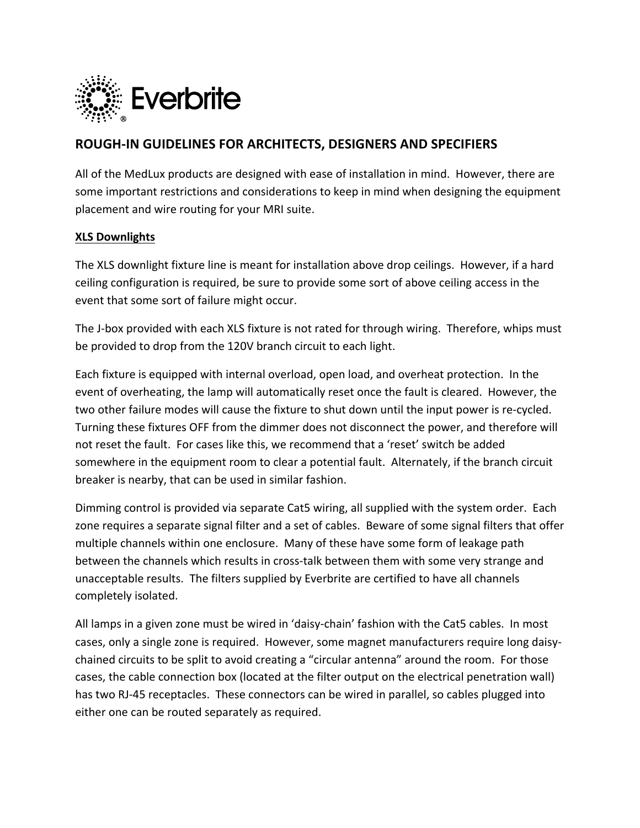

# **ROUGH-IN GUIDELINES FOR ARCHITECTS, DESIGNERS AND SPECIFIERS**

All of the MedLux products are designed with ease of installation in mind. However, there are some important restrictions and considerations to keep in mind when designing the equipment placement and wire routing for your MRI suite.

### **XLS Downlights**

The XLS downlight fixture line is meant for installation above drop ceilings. However, if a hard ceiling configuration is required, be sure to provide some sort of above ceiling access in the event that some sort of failure might occur.

The J-box provided with each XLS fixture is not rated for through wiring. Therefore, whips must be provided to drop from the 120V branch circuit to each light.

Each fixture is equipped with internal overload, open load, and overheat protection. In the event of overheating, the lamp will automatically reset once the fault is cleared. However, the two other failure modes will cause the fixture to shut down until the input power is re-cycled. Turning these fixtures OFF from the dimmer does not disconnect the power, and therefore will not reset the fault. For cases like this, we recommend that a 'reset' switch be added somewhere in the equipment room to clear a potential fault. Alternately, if the branch circuit breaker is nearby, that can be used in similar fashion.

Dimming control is provided via separate Cat5 wiring, all supplied with the system order. Each zone requires a separate signal filter and a set of cables. Beware of some signal filters that offer multiple channels within one enclosure. Many of these have some form of leakage path between the channels which results in cross-talk between them with some very strange and unacceptable results. The filters supplied by Everbrite are certified to have all channels completely isolated.

All lamps in a given zone must be wired in 'daisy-chain' fashion with the Cat5 cables. In most cases, only a single zone is required. However, some magnet manufacturers require long daisychained circuits to be split to avoid creating a "circular antenna" around the room. For those cases, the cable connection box (located at the filter output on the electrical penetration wall) has two RJ-45 receptacles. These connectors can be wired in parallel, so cables plugged into either one can be routed separately as required.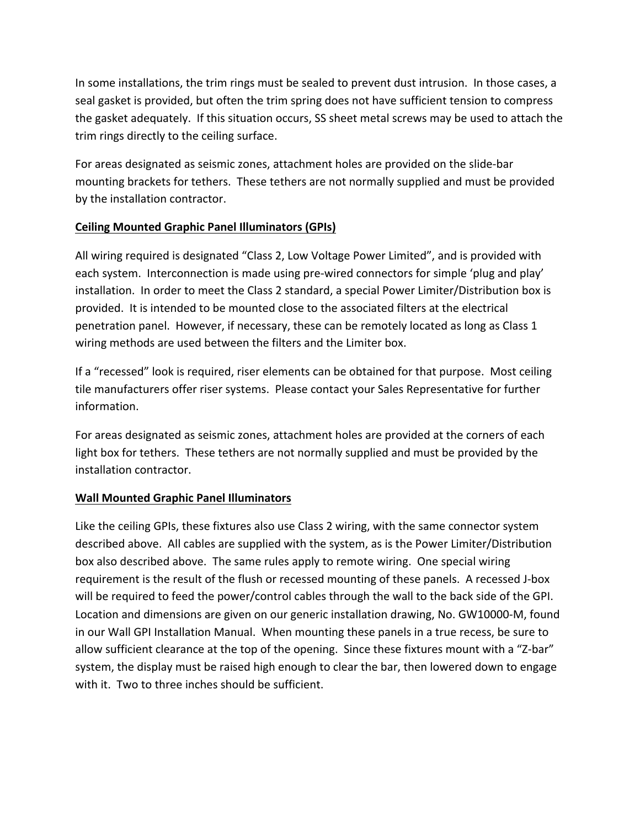In some installations, the trim rings must be sealed to prevent dust intrusion. In those cases, a seal gasket is provided, but often the trim spring does not have sufficient tension to compress the gasket adequately. If this situation occurs, SS sheet metal screws may be used to attach the trim rings directly to the ceiling surface.

For areas designated as seismic zones, attachment holes are provided on the slide-bar mounting brackets for tethers. These tethers are not normally supplied and must be provided by the installation contractor.

## **Ceiling Mounted Graphic Panel Illuminators (GPIs)**

All wiring required is designated "Class 2, Low Voltage Power Limited", and is provided with each system. Interconnection is made using pre-wired connectors for simple 'plug and play' installation. In order to meet the Class 2 standard, a special Power Limiter/Distribution box is provided. It is intended to be mounted close to the associated filters at the electrical penetration panel. However, if necessary, these can be remotely located as long as Class 1 wiring methods are used between the filters and the Limiter box.

If a "recessed" look is required, riser elements can be obtained for that purpose. Most ceiling tile manufacturers offer riser systems. Please contact your Sales Representative for further information.

For areas designated as seismic zones, attachment holes are provided at the corners of each light box for tethers. These tethers are not normally supplied and must be provided by the installation contractor.

## **Wall Mounted Graphic Panel Illuminators**

Like the ceiling GPIs, these fixtures also use Class 2 wiring, with the same connector system described above. All cables are supplied with the system, as is the Power Limiter/Distribution box also described above. The same rules apply to remote wiring. One special wiring requirement is the result of the flush or recessed mounting of these panels. A recessed J-box will be required to feed the power/control cables through the wall to the back side of the GPI. Location and dimensions are given on our generic installation drawing, No. GW10000-M, found in our Wall GPI Installation Manual. When mounting these panels in a true recess, be sure to allow sufficient clearance at the top of the opening. Since these fixtures mount with a "Z-bar" system, the display must be raised high enough to clear the bar, then lowered down to engage with it. Two to three inches should be sufficient.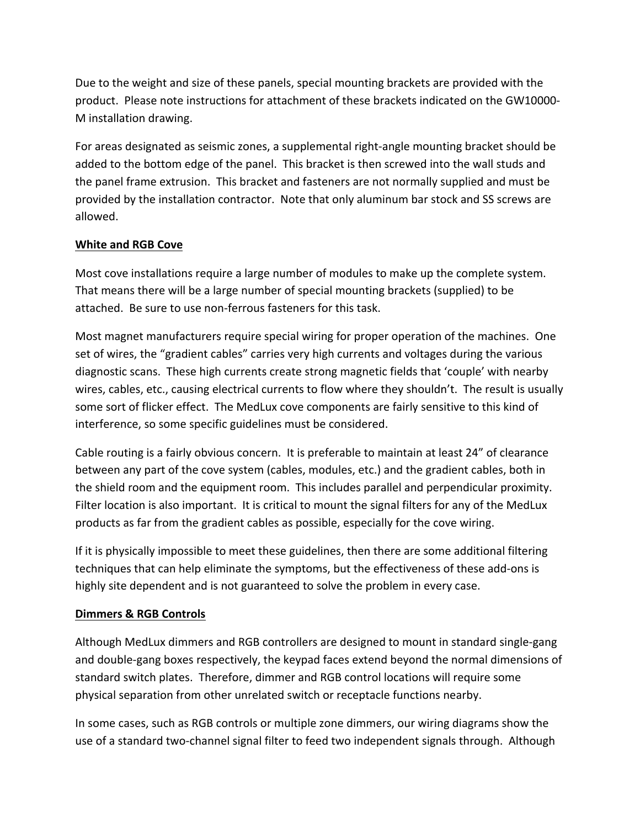Due to the weight and size of these panels, special mounting brackets are provided with the product. Please note instructions for attachment of these brackets indicated on the GW10000-M installation drawing.

For areas designated as seismic zones, a supplemental right-angle mounting bracket should be added to the bottom edge of the panel. This bracket is then screwed into the wall studs and the panel frame extrusion. This bracket and fasteners are not normally supplied and must be provided by the installation contractor. Note that only aluminum bar stock and SS screws are allowed.

### **White and RGB Cove**

Most cove installations require a large number of modules to make up the complete system. That means there will be a large number of special mounting brackets (supplied) to be attached. Be sure to use non-ferrous fasteners for this task.

Most magnet manufacturers require special wiring for proper operation of the machines. One set of wires, the "gradient cables" carries very high currents and voltages during the various diagnostic scans. These high currents create strong magnetic fields that 'couple' with nearby wires, cables, etc., causing electrical currents to flow where they shouldn't. The result is usually some sort of flicker effect. The MedLux cove components are fairly sensitive to this kind of interference, so some specific guidelines must be considered.

Cable routing is a fairly obvious concern. It is preferable to maintain at least 24" of clearance between any part of the cove system (cables, modules, etc.) and the gradient cables, both in the shield room and the equipment room. This includes parallel and perpendicular proximity. Filter location is also important. It is critical to mount the signal filters for any of the MedLux products as far from the gradient cables as possible, especially for the cove wiring.

If it is physically impossible to meet these guidelines, then there are some additional filtering techniques that can help eliminate the symptoms, but the effectiveness of these add-ons is highly site dependent and is not guaranteed to solve the problem in every case.

#### **Dimmers & RGB Controls**

Although MedLux dimmers and RGB controllers are designed to mount in standard single-gang and double-gang boxes respectively, the keypad faces extend beyond the normal dimensions of standard switch plates. Therefore, dimmer and RGB control locations will require some physical separation from other unrelated switch or receptacle functions nearby.

In some cases, such as RGB controls or multiple zone dimmers, our wiring diagrams show the use of a standard two-channel signal filter to feed two independent signals through. Although